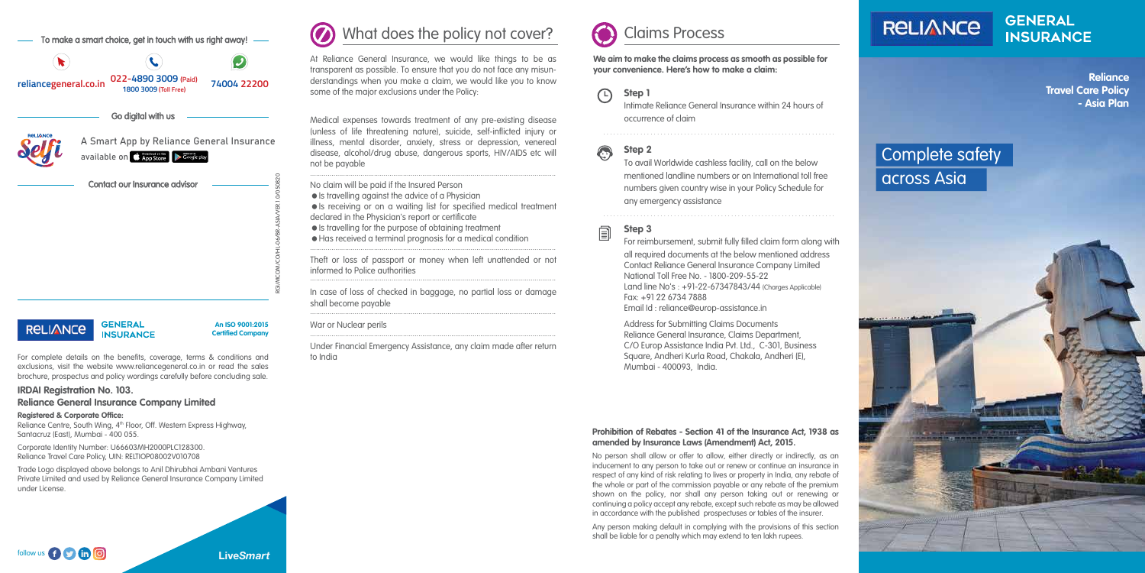- Is travelling against the advice of a Physician
- Is receiving or on a waiting list for specified medical treatment declared in the Physician's report or certificate
- $\bullet$  Is travelling for the purpose of obtaining treatment

No claim will be paid if the Insured Person

Has received a terminal prognosis for a medical condition

#### War or Nuclear perils

#### $\bigcirc$ **Step 1**

#### **Prohibition of Rebates - Section 41 of the Insurance Act, 1938 as amended by Insurance Laws (Amendment) Act, 2015.**

No person shall allow or offer to allow, either directly or indirectly, as an inducement to any person to take out or renew or continue an insurance in respect of any kind of risk relating to lives or property in India, any rebate of the whole or part of the commission payable or any rebate of the premium shown on the policy, nor shall any person taking out or renewing or continuing a policy accept any rebate, except such rebate as may be allowed in accordance with the published prospectuses or tables of the insurer.

Any person making default in complying with the provisions of this section shall be liable for a penalty which may extend to ten lakh rupees.

Reliance Centre, South Wing, 4<sup>th</sup> Floor, Off. Western Express Highway, Santacruz (East), Mumbai - 400 055.



**We aim to make the claims process as smooth as possible for your convenience. Here's how to make a claim:**

> Intimate Reliance General Insurance within 24 hours of occurrence of claim

# **Step 2**

To avail Worldwide cashless facility, call on the below mentioned landline numbers or on International toll free numbers given country wise in your Policy Schedule for any emergency assistance

### **Step 3**

For reimbursement, submit fully filled claim form along with all required documents at the below mentioned address Contact Reliance General Insurance Company Limited National Toll Free No. - 1800-209-55-22 Land line No's : +91-22-67347843/44 (Charges Applicable) Fax: +91 22 6734 7888

Medical expenses towards treatment of any pre-existing disease (unless of life threatening nature), suicide, self-inflicted injury or illness, mental disorder, anxiety, stress or depression, venereal disease, alcohol/drug abuse, dangerous sports, HIV/AIDS etc will not be payable ...............................................................................................................................

Email Id : reliance@europ-assistance.in

Under Financial Emergency Assistance, any claim made after return to India ...............................................................................................................................

In case of loss of checked in baggage, no partial loss or damage shall become payable ...............................................................................................................................

> Address for Submitting Claims Documents Reliance General Insurance, Claims Department, C/O Europ Assistance India Pvt. Ltd., C-301, Business Square, Andheri Kurla Road, Chakala, Andheri (E), Mumbai - 400093, India.

Theft or loss of passport or money when left unattended or not informed to Police authorities ............................................................................................................................... ...............................................................................................................................

. . . . . . . . . . . . . . . . . . . . . . . . . . . . . . . . . . . . . . . . . . . . . . . . . . . . . . . . . . . . . . . . . . . . .



. . . . . . . . . . . . . . . . . . . . . . . . . . . . . . . . . . . . . . . . . . . . . . . . . . . . . . . . . . . . . . . . . . . . .



For complete details on the benefits, coverage, terms & conditions and exclusions, visit the website www.reliancegeneral.co.in or read the sales brochure, prospectus and policy wordings carefully before concluding sale.

#### **IRDAI Registration No. 103.**

**Reliance General Insurance Company Limited**

#### **Registered & Corporate Office:**

Corporate Identity Number: U66603MH2000PLC128300. Reliance Travel Care Policy, UIN: RELTIOP08002V010708

Trade Logo displayed above belongs to Anil Dhirubhai Ambani Ventures Private Limited and used by Reliance General Insurance Company Limited under License.

**An ISO 9001:2015 Certified Company**



To make a smart choice, get in touch with us right away!



#### Go digital with us



available on **C** App Store **Department Cooking** 

A Smart App by Reliance General Insurance

Contact our Insurance advisor

#### **GENERAL RELIANCE INSURANCE**





**GENERAL INSURANCE** 

RGI/MCOM/CO/HL-06/BR-ASIA/VER.1.0/050820

**Reliance Travel Care Policy - Asia Plan**

# Complete safety across Asia

At Reliance General Insurance, we would like things to be as transparent as possible. To ensure that you do not face any misunderstandings when you make a claim, we would like you to know some of the major exclusions under the Policy:

# What does the policy not cover?